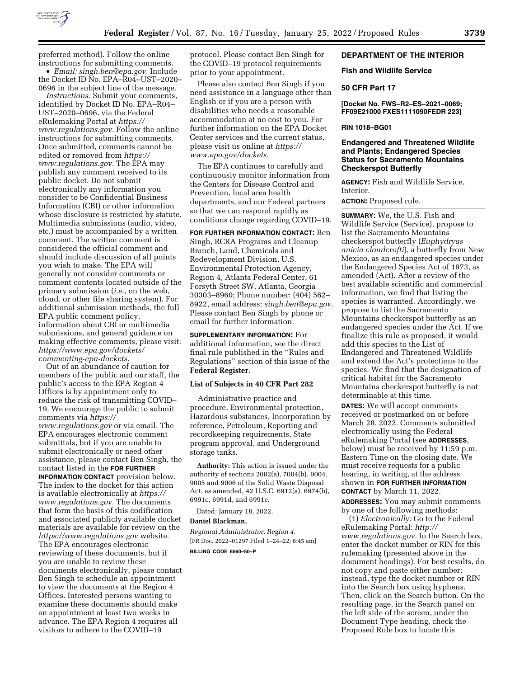

preferred method). Follow the online instructions for submitting comments.

• *Email: [singh.ben@epa.gov.](mailto:singh.ben@epa.gov)* Include the Docket ID No. EPA-R04-UST-2020-0696 in the subject line of the message.

*Instructions:* Submit your comments, identified by Docket ID No. EPA–R04– UST–2020–0696, via the Federal eRulemaking Portal at *[https://](https://www.regulations.gov) [www.regulations.gov.](https://www.regulations.gov)* Follow the online instructions for submitting comments. Once submitted, comments cannot be edited or removed from *[https://](https://www.regulations.gov) [www.regulations.gov.](https://www.regulations.gov)* The EPA may publish any comment received to its public docket. Do not submit electronically any information you consider to be Confidential Business Information (CBI) or other information whose disclosure is restricted by statute. Multimedia submissions (audio, video, etc.) must be accompanied by a written comment. The written comment is considered the official comment and should include discussion of all points you wish to make. The EPA will generally not consider comments or comment contents located outside of the primary submission (*i.e.,* on the web, cloud, or other file sharing system). For additional submission methods, the full EPA public comment policy, information about CBI or multimedia submissions, and general guidance on making effective comments, please visit: *[https://www.epa.gov/dockets/](https://www.epa.gov/dockets/commenting-epa-dockets)  [commenting-epa-dockets.](https://www.epa.gov/dockets/commenting-epa-dockets)* 

Out of an abundance of caution for members of the public and our staff, the public's access to the EPA Region 4 Offices is by appointment only to reduce the risk of transmitting COVID– 19. We encourage the public to submit comments via *[https://](https://www.regulations.gov) [www.regulations.gov](https://www.regulations.gov)* or via email. The EPA encourages electronic comment submittals, but if you are unable to submit electronically or need other assistance, please contact Ben Singh, the contact listed in the **FOR FURTHER INFORMATION CONTACT** provision below. The index to the docket for this action is available electronically at *[https://](https://www.regulations.gov) [www.regulations.gov.](https://www.regulations.gov)* The documents that form the basis of this codification and associated publicly available docket materials are available for review on the *<https://www.regulations.gov>* website. The EPA encourages electronic reviewing of these documents, but if you are unable to review these documents electronically, please contact Ben Singh to schedule an appointment to view the documents at the Region 4 Offices. Interested persons wanting to examine these documents should make an appointment at least two weeks in advance. The EPA Region 4 requires all visitors to adhere to the COVID–19

protocol. Please contact Ben Singh for the COVID–19 protocol requirements prior to your appointment.

Please also contact Ben Singh if you need assistance in a language other than English or if you are a person with disabilities who needs a reasonable accommodation at no cost to you. For further information on the EPA Docket Center services and the current status, please visit us online at *[https://](https://www.epa.gov/dockets) [www.epa.gov/dockets.](https://www.epa.gov/dockets)* 

The EPA continues to carefully and continuously monitor information from the Centers for Disease Control and Prevention, local area health departments, and our Federal partners so that we can respond rapidly as conditions change regarding COVID–19.

**FOR FURTHER INFORMATION CONTACT:** Ben Singh, RCRA Programs and Cleanup Branch, Land, Chemicals and Redevelopment Division, U.S. Environmental Protection Agency, Region 4, Atlanta Federal Center, 61 Forsyth Street SW, Atlanta, Georgia 30303–8960; Phone number: (404) 562– 8922, email address: *[singh.ben@epa.gov.](mailto:singh.ben@epa.gov)*  Please contact Ben Singh by phone or email for further information.

**SUPPLEMENTARY INFORMATION:** For additional information, see the direct final rule published in the ''Rules and Regulations'' section of this issue of the **Federal Register**.

### **List of Subjects in 40 CFR Part 282**

Administrative practice and procedure, Environmental protection, Hazardous substances, Incorporation by reference, Petroleum, Reporting and recordkeeping requirements, State program approval, and Underground storage tanks.

**Authority:** This action is issued under the authority of sections 2002(a), 7004(b), 9004, 9005 and 9006 of the Solid Waste Disposal Act, as amended, 42 U.S.C. 6912(a), 6974(b), 6991c, 6991d, and 6991e.

Dated: January 18, 2022.

#### **Daniel Blackman,**

*Regional Administrator, Region 4.*  [FR Doc. 2022–01297 Filed 1–24–22; 8:45 am] **BILLING CODE 6560–50–P** 

# **DEPARTMENT OF THE INTERIOR**

### **Fish and Wildlife Service**

### **50 CFR Part 17**

**[Docket No. FWS–R2–ES–2021–0069; FF09E21000 FXES1111090FEDR 223]** 

## **RIN 1018–BG01**

# **Endangered and Threatened Wildlife and Plants; Endangered Species Status for Sacramento Mountains Checkerspot Butterfly**

**AGENCY:** Fish and Wildlife Service, Interior.

**ACTION:** Proposed rule.

**SUMMARY:** We, the U.S. Fish and Wildlife Service (Service), propose to list the Sacramento Mountains checkerspot butterfly (*Euphydryas anicia cloudcrofti*), a butterfly from New Mexico, as an endangered species under the Endangered Species Act of 1973, as amended (Act). After a review of the best available scientific and commercial information, we find that listing the species is warranted. Accordingly, we propose to list the Sacramento Mountains checkerspot butterfly as an endangered species under the Act. If we finalize this rule as proposed, it would add this species to the List of Endangered and Threatened Wildlife and extend the Act's protections to the species. We find that the designation of critical habitat for the Sacramento Mountains checkerspot butterfly is not determinable at this time.

**DATES:** We will accept comments received or postmarked on or before March 28, 2022. Comments submitted electronically using the Federal eRulemaking Portal (see **ADDRESSES**, below) must be received by 11:59 p.m. Eastern Time on the closing date. We must receive requests for a public hearing, in writing, at the address shown in **FOR FURTHER INFORMATION CONTACT** by March 11, 2022.

**ADDRESSES:** You may submit comments by one of the following methods:

(1) *Electronically:* Go to the Federal eRulemaking Portal: *[http://](http://www.regulations.gov) [www.regulations.gov.](http://www.regulations.gov)* In the Search box, enter the docket number or RIN for this rulemaking (presented above in the document headings). For best results, do not copy and paste either number; instead, type the docket number or RIN into the Search box using hyphens. Then, click on the Search button. On the resulting page, in the Search panel on the left side of the screen, under the Document Type heading, check the Proposed Rule box to locate this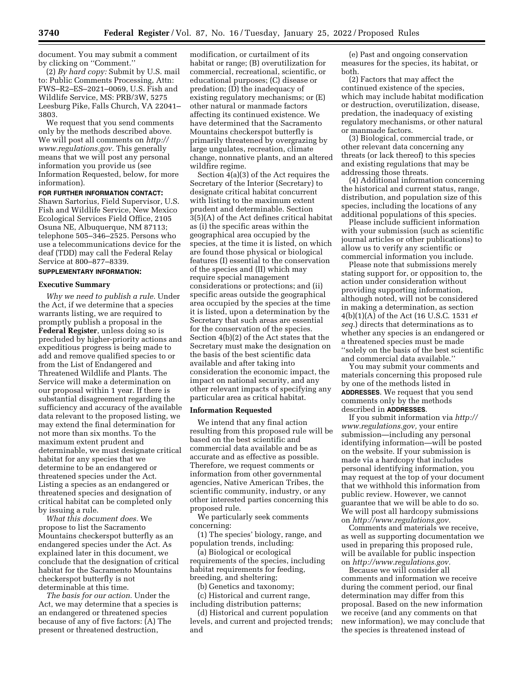document. You may submit a comment by clicking on ''Comment.''

(2) *By hard copy:* Submit by U.S. mail to: Public Comments Processing, Attn: FWS–R2–ES–2021–0069, U.S. Fish and Wildlife Service, MS: PRB/3W, 5275 Leesburg Pike, Falls Church, VA 22041– 3803.

We request that you send comments only by the methods described above. We will post all comments on *[http://](http://www.regulations.gov) [www.regulations.gov.](http://www.regulations.gov)* This generally means that we will post any personal information you provide us (see Information Requested, below, for more information).

### **FOR FURTHER INFORMATION CONTACT:**

Shawn Sartorius, Field Supervisor, U.S. Fish and Wildlife Service, New Mexico Ecological Services Field Office, 2105 Osuna NE, Albuquerque, NM 87113; telephone 505–346–2525. Persons who use a telecommunications device for the deaf (TDD) may call the Federal Relay Service at 800–877–8339.

# **SUPPLEMENTARY INFORMATION:**

### **Executive Summary**

*Why we need to publish a rule.* Under the Act, if we determine that a species warrants listing, we are required to promptly publish a proposal in the **Federal Register**, unless doing so is precluded by higher-priority actions and expeditious progress is being made to add and remove qualified species to or from the List of Endangered and Threatened Wildlife and Plants. The Service will make a determination on our proposal within 1 year. If there is substantial disagreement regarding the sufficiency and accuracy of the available data relevant to the proposed listing, we may extend the final determination for not more than six months. To the maximum extent prudent and determinable, we must designate critical habitat for any species that we determine to be an endangered or threatened species under the Act. Listing a species as an endangered or threatened species and designation of critical habitat can be completed only by issuing a rule.

*What this document does.* We propose to list the Sacramento Mountains checkerspot butterfly as an endangered species under the Act. As explained later in this document, we conclude that the designation of critical habitat for the Sacramento Mountains checkerspot butterfly is not determinable at this time.

*The basis for our action.* Under the Act, we may determine that a species is an endangered or threatened species because of any of five factors: (A) The present or threatened destruction,

modification, or curtailment of its habitat or range; (B) overutilization for commercial, recreational, scientific, or educational purposes; (C) disease or predation; (D) the inadequacy of existing regulatory mechanisms; or (E) other natural or manmade factors affecting its continued existence. We have determined that the Sacramento Mountains checkerspot butterfly is primarily threatened by overgrazing by large ungulates, recreation, climate change, nonnative plants, and an altered wildfire regime.

Section 4(a)(3) of the Act requires the Secretary of the Interior (Secretary) to designate critical habitat concurrent with listing to the maximum extent prudent and determinable. Section 3(5)(A) of the Act defines critical habitat as (i) the specific areas within the geographical area occupied by the species, at the time it is listed, on which are found those physical or biological features (I) essential to the conservation of the species and (II) which may require special management considerations or protections; and (ii) specific areas outside the geographical area occupied by the species at the time it is listed, upon a determination by the Secretary that such areas are essential for the conservation of the species. Section 4(b)(2) of the Act states that the Secretary must make the designation on the basis of the best scientific data available and after taking into consideration the economic impact, the impact on national security, and any other relevant impacts of specifying any particular area as critical habitat.

### **Information Requested**

We intend that any final action resulting from this proposed rule will be based on the best scientific and commercial data available and be as accurate and as effective as possible. Therefore, we request comments or information from other governmental agencies, Native American Tribes, the scientific community, industry, or any other interested parties concerning this proposed rule.

We particularly seek comments concerning:

(1) The species' biology, range, and population trends, including:

(a) Biological or ecological requirements of the species, including habitat requirements for feeding, breeding, and sheltering;

(b) Genetics and taxonomy; (c) Historical and current range, including distribution patterns;

(d) Historical and current population levels, and current and projected trends; and

(e) Past and ongoing conservation measures for the species, its habitat, or both.

(2) Factors that may affect the continued existence of the species, which may include habitat modification or destruction, overutilization, disease, predation, the inadequacy of existing regulatory mechanisms, or other natural or manmade factors.

(3) Biological, commercial trade, or other relevant data concerning any threats (or lack thereof) to this species and existing regulations that may be addressing those threats.

(4) Additional information concerning the historical and current status, range, distribution, and population size of this species, including the locations of any additional populations of this species.

Please include sufficient information with your submission (such as scientific journal articles or other publications) to allow us to verify any scientific or commercial information you include.

Please note that submissions merely stating support for, or opposition to, the action under consideration without providing supporting information, although noted, will not be considered in making a determination, as section 4(b)(1)(A) of the Act (16 U.S.C. 1531 *et seq.*) directs that determinations as to whether any species is an endangered or a threatened species must be made ''solely on the basis of the best scientific and commercial data available.''

You may submit your comments and materials concerning this proposed rule by one of the methods listed in **ADDRESSES**. We request that you send comments only by the methods described in **ADDRESSES**.

If you submit information via *[http://](http://www.regulations.gov) [www.regulations.gov,](http://www.regulations.gov)* your entire submission—including any personal identifying information—will be posted on the website. If your submission is made via a hardcopy that includes personal identifying information, you may request at the top of your document that we withhold this information from public review. However, we cannot guarantee that we will be able to do so. We will post all hardcopy submissions on *[http://www.regulations.gov.](http://www.regulations.gov)* 

Comments and materials we receive, as well as supporting documentation we used in preparing this proposed rule, will be available for public inspection on *[http://www.regulations.gov.](http://www.regulations.gov)* 

Because we will consider all comments and information we receive during the comment period, our final determination may differ from this proposal. Based on the new information we receive (and any comments on that new information), we may conclude that the species is threatened instead of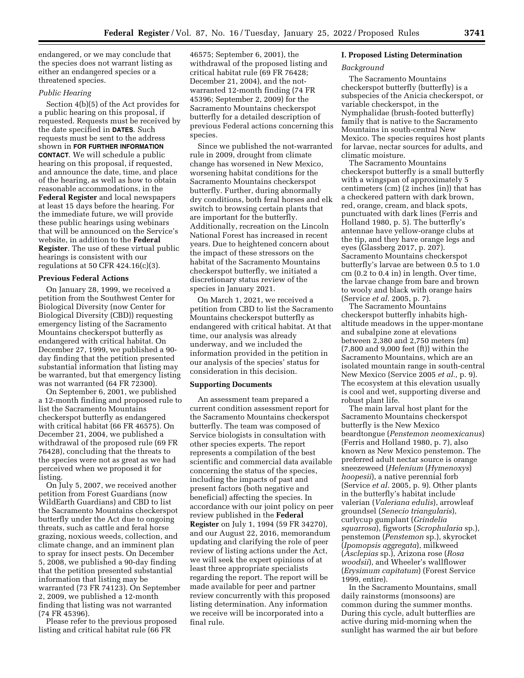endangered, or we may conclude that the species does not warrant listing as either an endangered species or a threatened species.

## *Public Hearing*

Section 4(b)(5) of the Act provides for a public hearing on this proposal, if requested. Requests must be received by the date specified in **DATES**. Such requests must be sent to the address shown in **FOR FURTHER INFORMATION CONTACT**. We will schedule a public hearing on this proposal, if requested, and announce the date, time, and place of the hearing, as well as how to obtain reasonable accommodations, in the **Federal Register** and local newspapers at least 15 days before the hearing. For the immediate future, we will provide these public hearings using webinars that will be announced on the Service's website, in addition to the **Federal Register**. The use of these virtual public hearings is consistent with our regulations at 50 CFR 424.16(c)(3).

#### **Previous Federal Actions**

On January 28, 1999, we received a petition from the Southwest Center for Biological Diversity (now Center for Biological Diversity (CBD)) requesting emergency listing of the Sacramento Mountains checkerspot butterfly as endangered with critical habitat. On December 27, 1999, we published a 90 day finding that the petition presented substantial information that listing may be warranted, but that emergency listing was not warranted (64 FR 72300).

On September 6, 2001, we published a 12-month finding and proposed rule to list the Sacramento Mountains checkerspot butterfly as endangered with critical habitat (66 FR 46575). On December 21, 2004, we published a withdrawal of the proposed rule (69 FR 76428), concluding that the threats to the species were not as great as we had perceived when we proposed it for listing.

On July 5, 2007, we received another petition from Forest Guardians (now WildEarth Guardians) and CBD to list the Sacramento Mountains checkerspot butterfly under the Act due to ongoing threats, such as cattle and feral horse grazing, noxious weeds, collection, and climate change, and an imminent plan to spray for insect pests. On December 5, 2008, we published a 90-day finding that the petition presented substantial information that listing may be warranted (73 FR 74123). On September 2, 2009, we published a 12-month finding that listing was not warranted (74 FR 45396).

Please refer to the previous proposed listing and critical habitat rule (66 FR

46575; September 6, 2001), the withdrawal of the proposed listing and critical habitat rule (69 FR 76428; December 21, 2004), and the notwarranted 12-month finding (74 FR 45396; September 2, 2009) for the Sacramento Mountains checkerspot butterfly for a detailed description of previous Federal actions concerning this species.

Since we published the not-warranted rule in 2009, drought from climate change has worsened in New Mexico, worsening habitat conditions for the Sacramento Mountains checkerspot butterfly. Further, during abnormally dry conditions, both feral horses and elk switch to browsing certain plants that are important for the butterfly. Additionally, recreation on the Lincoln National Forest has increased in recent years. Due to heightened concern about the impact of these stressors on the habitat of the Sacramento Mountains checkerspot butterfly, we initiated a discretionary status review of the species in January 2021.

On March 1, 2021, we received a petition from CBD to list the Sacramento Mountains checkerspot butterfly as endangered with critical habitat. At that time, our analysis was already underway, and we included the information provided in the petition in our analysis of the species' status for consideration in this decision.

## **Supporting Documents**

An assessment team prepared a current condition assessment report for the Sacramento Mountains checkerspot butterfly. The team was composed of Service biologists in consultation with other species experts. The report represents a compilation of the best scientific and commercial data available concerning the status of the species, including the impacts of past and present factors (both negative and beneficial) affecting the species. In accordance with our joint policy on peer review published in the **Federal Register** on July 1, 1994 (59 FR 34270), and our August 22, 2016, memorandum updating and clarifying the role of peer review of listing actions under the Act, we will seek the expert opinions of at least three appropriate specialists regarding the report. The report will be made available for peer and partner review concurrently with this proposed listing determination. Any information we receive will be incorporated into a final rule.

### **I. Proposed Listing Determination**

#### *Background*

The Sacramento Mountains checkerspot butterfly (butterfly) is a subspecies of the Anicia checkerspot, or variable checkerspot, in the Nymphalidae (brush-footed butterfly) family that is native to the Sacramento Mountains in south-central New Mexico. The species requires host plants for larvae, nectar sources for adults, and climatic moisture.

The Sacramento Mountains checkerspot butterfly is a small butterfly with a wingspan of approximately 5 centimeters (cm) (2 inches (in)) that has a checkered pattern with dark brown, red, orange, cream, and black spots, punctuated with dark lines (Ferris and Holland 1980, p. 5). The butterfly's antennae have yellow-orange clubs at the tip, and they have orange legs and eyes (Glassberg 2017, p. 207). Sacramento Mountains checkerspot butterfly's larvae are between 0.5 to 1.0 cm (0.2 to 0.4 in) in length. Over time, the larvae change from bare and brown to wooly and black with orange hairs (Service *et al.* 2005, p. 7).

The Sacramento Mountains checkerspot butterfly inhabits highaltitude meadows in the upper-montane and subalpine zone at elevations between 2,380 and 2,750 meters (m) (7,800 and 9,000 feet (ft)) within the Sacramento Mountains, which are an isolated mountain range in south-central New Mexico (Service 2005 *et al.,* p. 9). The ecosystem at this elevation usually is cool and wet, supporting diverse and robust plant life.

The main larval host plant for the Sacramento Mountains checkerspot butterfly is the New Mexico beardtongue (*Penstemon neomexicanus*) (Ferris and Holland 1980, p. 7), also known as New Mexico penstemon. The preferred adult nectar source is orange sneezeweed (*Helenium* (*Hymenoxys*) *hoopesii*), a native perennial forb (Service *et al.* 2005, p. 9). Other plants in the butterfly's habitat include valerian (*Valeriana edulis*), arrowleaf groundsel (*Senecio triangularis*), curlycup gumplant (*Grindelia squarrosa*), figworts (*Scrophularia* sp.), penstemon (*Penstemon* sp.), skyrocket (*Ipomopsis aggregata*), milkweed (*Asclepias* sp.), Arizona rose (*Rosa woodsii*), and Wheeler's wallflower (*Erysimum capitatum*) (Forest Service 1999, entire).

In the Sacramento Mountains, small daily rainstorms (monsoons) are common during the summer months. During this cycle, adult butterflies are active during mid-morning when the sunlight has warmed the air but before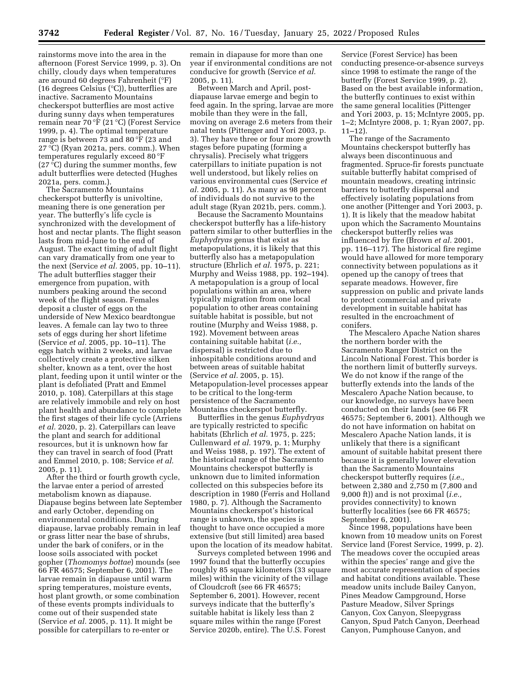rainstorms move into the area in the afternoon (Forest Service 1999, p. 3). On chilly, cloudy days when temperatures are around 60 degrees Fahrenheit (°F) (16 degrees Celsius (°C)), butterflies are inactive. Sacramento Mountains checkerspot butterflies are most active during sunny days when temperatures remain near 70 °F (21 °C) (Forest Service 1999, p. 4). The optimal temperature range is between 73 and 80 °F (23 and 27 °C) (Ryan 2021a, pers. comm.). When temperatures regularly exceed 80 °F (27 °C) during the summer months, few adult butterflies were detected (Hughes 2021a, pers. comm.).

The Sacramento Mountains checkerspot butterfly is univoltine, meaning there is one generation per year. The butterfly's life cycle is synchronized with the development of host and nectar plants. The flight season lasts from mid-June to the end of August. The exact timing of adult flight can vary dramatically from one year to the next (Service *et al.* 2005, pp. 10–11). The adult butterflies stagger their emergence from pupation, with numbers peaking around the second week of the flight season. Females deposit a cluster of eggs on the underside of New Mexico beardtongue leaves. A female can lay two to three sets of eggs during her short lifetime (Service *et al.* 2005, pp. 10–11). The eggs hatch within 2 weeks, and larvae collectively create a protective silken shelter, known as a tent, over the host plant, feeding upon it until winter or the plant is defoliated (Pratt and Emmel 2010, p. 108). Caterpillars at this stage are relatively immobile and rely on host plant health and abundance to complete the first stages of their life cycle (Arriens *et al.* 2020, p. 2). Caterpillars can leave the plant and search for additional resources, but it is unknown how far they can travel in search of food (Pratt and Emmel 2010, p. 108; Service *et al.*  2005, p. 11).

After the third or fourth growth cycle, the larvae enter a period of arrested metabolism known as diapause. Diapause begins between late September and early October, depending on environmental conditions. During diapause, larvae probably remain in leaf or grass litter near the base of shrubs, under the bark of conifers, or in the loose soils associated with pocket gopher (*Thomomys bottae*) mounds (see 66 FR 46575; September 6, 2001). The larvae remain in diapause until warm spring temperatures, moisture events, host plant growth, or some combination of these events prompts individuals to come out of their suspended state (Service *et al.* 2005, p. 11). It might be possible for caterpillars to re-enter or

remain in diapause for more than one year if environmental conditions are not conducive for growth (Service *et al.*  2005, p. 11).

Between March and April, postdiapause larvae emerge and begin to feed again. In the spring, larvae are more mobile than they were in the fall, moving on average 2.6 meters from their natal tents (Pittenger and Yori 2003, p. 3). They have three or four more growth stages before pupating (forming a chrysalis). Precisely what triggers caterpillars to initiate pupation is not well understood, but likely relies on various environmental cues (Service *et al.* 2005, p. 11). As many as 98 percent of individuals do not survive to the adult stage (Ryan 2021b, pers. comm.).

Because the Sacramento Mountains checkerspot butterfly has a life-history pattern similar to other butterflies in the *Euphydryas* genus that exist as metapopulations, it is likely that this butterfly also has a metapopulation structure (Ehrlich *et al.* 1975, p. 221; Murphy and Weiss 1988, pp. 192–194). A metapopulation is a group of local populations within an area, where typically migration from one local population to other areas containing suitable habitat is possible, but not routine (Murphy and Weiss 1988, p. 192). Movement between areas containing suitable habitat (*i.e.,*  dispersal) is restricted due to inhospitable conditions around and between areas of suitable habitat (Service *et al.* 2005, p. 15). Metapopulation-level processes appear to be critical to the long-term persistence of the Sacramento Mountains checkerspot butterfly.

Butterflies in the genus *Euphydryas*  are typically restricted to specific habitats (Ehrlich *et al.* 1975, p. 225; Cullenward *et al.* 1979, p. 1; Murphy and Weiss 1988, p. 197). The extent of the historical range of the Sacramento Mountains checkerspot butterfly is unknown due to limited information collected on this subspecies before its description in 1980 (Ferris and Holland 1980, p. 7). Although the Sacramento Mountains checkerspot's historical range is unknown, the species is thought to have once occupied a more extensive (but still limited) area based upon the location of its meadow habitat.

Surveys completed between 1996 and 1997 found that the butterfly occupies roughly 85 square kilometers (33 square miles) within the vicinity of the village of Cloudcroft (see 66 FR 46575; September 6, 2001). However, recent surveys indicate that the butterfly's suitable habitat is likely less than 2 square miles within the range (Forest Service 2020b, entire). The U.S. Forest

Service (Forest Service) has been conducting presence-or-absence surveys since 1998 to estimate the range of the butterfly (Forest Service 1999, p. 2). Based on the best available information, the butterfly continues to exist within the same general localities (Pittenger and Yori 2003, p. 15; McIntyre 2005, pp. 1–2; McIntyre 2008, p. 1; Ryan 2007, pp. 11–12).

The range of the Sacramento Mountains checkerspot butterfly has always been discontinuous and fragmented. Spruce-fir forests punctuate suitable butterfly habitat comprised of mountain meadows, creating intrinsic barriers to butterfly dispersal and effectively isolating populations from one another (Pittenger and Yori 2003, p. 1). It is likely that the meadow habitat upon which the Sacramento Mountains checkerspot butterfly relies was influenced by fire (Brown *et al.* 2001, pp. 116–117). The historical fire regime would have allowed for more temporary connectivity between populations as it opened up the canopy of trees that separate meadows. However, fire suppression on public and private lands to protect commercial and private development in suitable habitat has resulted in the encroachment of conifers.

The Mescalero Apache Nation shares the northern border with the Sacramento Ranger District on the Lincoln National Forest. This border is the northern limit of butterfly surveys. We do not know if the range of the butterfly extends into the lands of the Mescalero Apache Nation because, to our knowledge, no surveys have been conducted on their lands (see 66 FR 46575; September 6, 2001). Although we do not have information on habitat on Mescalero Apache Nation lands, it is unlikely that there is a significant amount of suitable habitat present there because it is generally lower elevation than the Sacramento Mountains checkerspot butterfly requires (*i.e.,*  between 2,380 and 2,750 m (7,800 and 9,000 ft)) and is not proximal (*i.e.,*  provides connectivity) to known butterfly localities (see 66 FR 46575; September 6, 2001).

Since 1998, populations have been known from 10 meadow units on Forest Service land (Forest Service, 1999, p. 2). The meadows cover the occupied areas within the species' range and give the most accurate representation of species and habitat conditions available. These meadow units include Bailey Canyon, Pines Meadow Campground, Horse Pasture Meadow, Silver Springs Canyon, Cox Canyon, Sleepygrass Canyon, Spud Patch Canyon, Deerhead Canyon, Pumphouse Canyon, and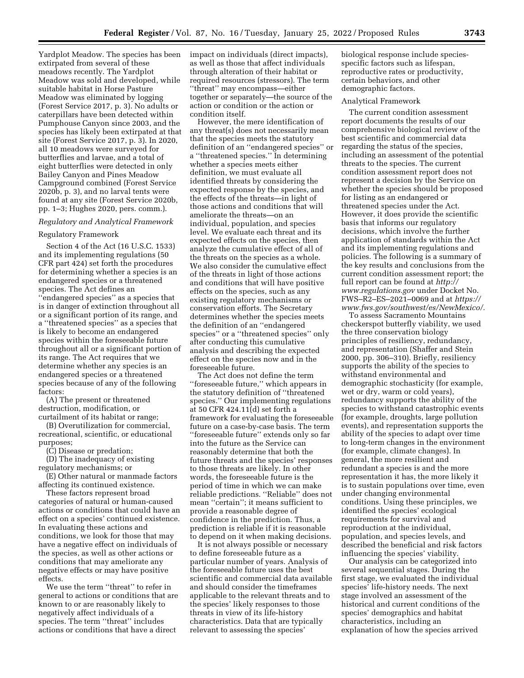Yardplot Meadow. The species has been extirpated from several of these meadows recently. The Yardplot Meadow was sold and developed, while suitable habitat in Horse Pasture Meadow was eliminated by logging (Forest Service 2017, p. 3). No adults or caterpillars have been detected within Pumphouse Canyon since 2003, and the species has likely been extirpated at that site (Forest Service 2017, p. 3). In 2020, all 10 meadows were surveyed for butterflies and larvae, and a total of eight butterflies were detected in only Bailey Canyon and Pines Meadow Campground combined (Forest Service 2020b, p. 3), and no larval tents were found at any site (Forest Service 2020b, pp. 1–3; Hughes 2020, pers. comm.).

### *Regulatory and Analytical Framework*

### Regulatory Framework

Section 4 of the Act (16 U.S.C. 1533) and its implementing regulations (50 CFR part 424) set forth the procedures for determining whether a species is an endangered species or a threatened species. The Act defines an ''endangered species'' as a species that is in danger of extinction throughout all or a significant portion of its range, and a ''threatened species'' as a species that is likely to become an endangered species within the foreseeable future throughout all or a significant portion of its range. The Act requires that we determine whether any species is an endangered species or a threatened species because of any of the following factors:

(A) The present or threatened destruction, modification, or curtailment of its habitat or range;

(B) Overutilization for commercial, recreational, scientific, or educational purposes;

(C) Disease or predation;

(D) The inadequacy of existing regulatory mechanisms; or

(E) Other natural or manmade factors affecting its continued existence.

These factors represent broad categories of natural or human-caused actions or conditions that could have an effect on a species' continued existence. In evaluating these actions and conditions, we look for those that may have a negative effect on individuals of the species, as well as other actions or conditions that may ameliorate any negative effects or may have positive effects.

We use the term ''threat'' to refer in general to actions or conditions that are known to or are reasonably likely to negatively affect individuals of a species. The term ''threat'' includes actions or conditions that have a direct

impact on individuals (direct impacts), as well as those that affect individuals through alteration of their habitat or required resources (stressors). The term ''threat'' may encompass—either together or separately—the source of the action or condition or the action or condition itself.

However, the mere identification of any threat(s) does not necessarily mean that the species meets the statutory definition of an ''endangered species'' or a ''threatened species.'' In determining whether a species meets either definition, we must evaluate all identified threats by considering the expected response by the species, and the effects of the threats—in light of those actions and conditions that will ameliorate the threats—on an individual, population, and species level. We evaluate each threat and its expected effects on the species, then analyze the cumulative effect of all of the threats on the species as a whole. We also consider the cumulative effect of the threats in light of those actions and conditions that will have positive effects on the species, such as any existing regulatory mechanisms or conservation efforts. The Secretary determines whether the species meets the definition of an ''endangered species'' or a ''threatened species'' only after conducting this cumulative analysis and describing the expected effect on the species now and in the foreseeable future.

The Act does not define the term ''foreseeable future,'' which appears in the statutory definition of ''threatened species.'' Our implementing regulations at 50 CFR 424.11(d) set forth a framework for evaluating the foreseeable future on a case-by-case basis. The term ''foreseeable future'' extends only so far into the future as the Service can reasonably determine that both the future threats and the species' responses to those threats are likely. In other words, the foreseeable future is the period of time in which we can make reliable predictions. ''Reliable'' does not mean ''certain''; it means sufficient to provide a reasonable degree of confidence in the prediction. Thus, a prediction is reliable if it is reasonable to depend on it when making decisions.

It is not always possible or necessary to define foreseeable future as a particular number of years. Analysis of the foreseeable future uses the best scientific and commercial data available and should consider the timeframes applicable to the relevant threats and to the species' likely responses to those threats in view of its life-history characteristics. Data that are typically relevant to assessing the species'

biological response include speciesspecific factors such as lifespan, reproductive rates or productivity, certain behaviors, and other demographic factors.

#### Analytical Framework

The current condition assessment report documents the results of our comprehensive biological review of the best scientific and commercial data regarding the status of the species, including an assessment of the potential threats to the species. The current condition assessment report does not represent a decision by the Service on whether the species should be proposed for listing as an endangered or threatened species under the Act. However, it does provide the scientific basis that informs our regulatory decisions, which involve the further application of standards within the Act and its implementing regulations and policies. The following is a summary of the key results and conclusions from the current condition assessment report; the full report can be found at *[http://](http://www.regulations.gov) [www.regulations.gov](http://www.regulations.gov)* under Docket No. FWS–R2–ES–2021–0069 and at *[https://](https://www.fws.gov/southwest/es/NewMexico/)  [www.fws.gov/southwest/es/NewMexico/.](https://www.fws.gov/southwest/es/NewMexico/)* 

To assess Sacramento Mountains checkerspot butterfly viability, we used the three conservation biology principles of resiliency, redundancy, and representation (Shaffer and Stein 2000, pp. 306–310). Briefly, resiliency supports the ability of the species to withstand environmental and demographic stochasticity (for example, wet or dry, warm or cold years), redundancy supports the ability of the species to withstand catastrophic events (for example, droughts, large pollution events), and representation supports the ability of the species to adapt over time to long-term changes in the environment (for example, climate changes). In general, the more resilient and redundant a species is and the more representation it has, the more likely it is to sustain populations over time, even under changing environmental conditions. Using these principles, we identified the species' ecological requirements for survival and reproduction at the individual, population, and species levels, and described the beneficial and risk factors influencing the species' viability.

Our analysis can be categorized into several sequential stages. During the first stage, we evaluated the individual species' life-history needs. The next stage involved an assessment of the historical and current conditions of the species' demographics and habitat characteristics, including an explanation of how the species arrived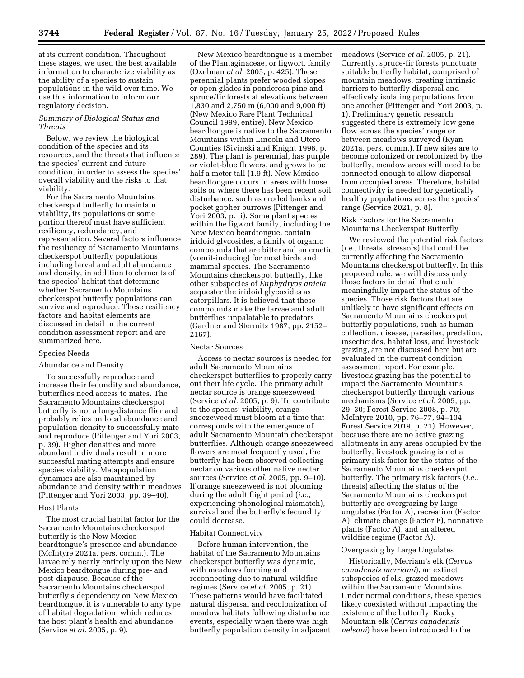at its current condition. Throughout these stages, we used the best available information to characterize viability as the ability of a species to sustain populations in the wild over time. We use this information to inform our regulatory decision.

## *Summary of Biological Status and Threats*

Below, we review the biological condition of the species and its resources, and the threats that influence the species' current and future condition, in order to assess the species' overall viability and the risks to that viability.

For the Sacramento Mountains checkerspot butterfly to maintain viability, its populations or some portion thereof must have sufficient resiliency, redundancy, and representation. Several factors influence the resiliency of Sacramento Mountains checkerspot butterfly populations, including larval and adult abundance and density, in addition to elements of the species' habitat that determine whether Sacramento Mountains checkerspot butterfly populations can survive and reproduce. These resiliency factors and habitat elements are discussed in detail in the current condition assessment report and are summarized here.

#### Species Needs

### Abundance and Density

To successfully reproduce and increase their fecundity and abundance, butterflies need access to mates. The Sacramento Mountains checkerspot butterfly is not a long-distance flier and probably relies on local abundance and population density to successfully mate and reproduce (Pittenger and Yori 2003, p. 39). Higher densities and more abundant individuals result in more successful mating attempts and ensure species viability. Metapopulation dynamics are also maintained by abundance and density within meadows (Pittenger and Yori 2003, pp. 39–40).

## Host Plants

The most crucial habitat factor for the Sacramento Mountains checkerspot butterfly is the New Mexico beardtongue's presence and abundance (McIntyre 2021a, pers. comm.). The larvae rely nearly entirely upon the New Mexico beardtongue during pre- and post-diapause. Because of the Sacramento Mountains checkerspot butterfly's dependency on New Mexico beardtongue, it is vulnerable to any type of habitat degradation, which reduces the host plant's health and abundance (Service *et al.* 2005, p. 9).

New Mexico beardtongue is a member of the Plantaginaceae, or figwort, family (Oxelman *et al.* 2005, p. 425). These perennial plants prefer wooded slopes or open glades in ponderosa pine and spruce/fir forests at elevations between 1,830 and 2,750 m (6,000 and 9,000 ft) (New Mexico Rare Plant Technical Council 1999, entire). New Mexico beardtongue is native to the Sacramento Mountains within Lincoln and Otero Counties (Sivinski and Knight 1996, p. 289). The plant is perennial, has purple or violet-blue flowers, and grows to be half a meter tall (1.9 ft). New Mexico beardtongue occurs in areas with loose soils or where there has been recent soil disturbance, such as eroded banks and pocket gopher burrows (Pittenger and Yori 2003, p. ii). Some plant species within the figwort family, including the New Mexico beardtongue, contain iridoid glycosides, a family of organic compounds that are bitter and an emetic (vomit-inducing) for most birds and mammal species. The Sacramento Mountains checkerspot butterfly, like other subspecies of *Euphydryas anicia,*  sequester the iridoid glycosides as caterpillars. It is believed that these compounds make the larvae and adult butterflies unpalatable to predators (Gardner and Stermitz 1987, pp. 2152– 2167).

#### Nectar Sources

Access to nectar sources is needed for adult Sacramento Mountains checkerspot butterflies to properly carry out their life cycle. The primary adult nectar source is orange sneezeweed (Service *et al.* 2005, p. 9). To contribute to the species' viability, orange sneezeweed must bloom at a time that corresponds with the emergence of adult Sacramento Mountain checkerspot butterflies. Although orange sneezeweed flowers are most frequently used, the butterfly has been observed collecting nectar on various other native nectar sources (Service *et al.* 2005, pp. 9–10). If orange sneezeweed is not blooming during the adult flight period (*i.e.,*  experiencing phenological mismatch), survival and the butterfly's fecundity could decrease.

#### Habitat Connectivity

Before human intervention, the habitat of the Sacramento Mountains checkerspot butterfly was dynamic, with meadows forming and reconnecting due to natural wildfire regimes (Service *et al.* 2005, p. 21). These patterns would have facilitated natural dispersal and recolonization of meadow habitats following disturbance events, especially when there was high butterfly population density in adjacent meadows (Service *et al.* 2005, p. 21). Currently, spruce-fir forests punctuate suitable butterfly habitat, comprised of mountain meadows, creating intrinsic barriers to butterfly dispersal and effectively isolating populations from one another (Pittenger and Yori 2003, p. 1). Preliminary genetic research suggested there is extremely low gene flow across the species' range or between meadows surveyed (Ryan 2021a, pers. comm.). If new sites are to become colonized or recolonized by the butterfly, meadow areas will need to be connected enough to allow dispersal from occupied areas. Therefore, habitat connectivity is needed for genetically healthy populations across the species' range (Service 2021, p. 8).

## Risk Factors for the Sacramento Mountains Checkerspot Butterfly

We reviewed the potential risk factors (*i.e.,* threats, stressors) that could be currently affecting the Sacramento Mountains checkerspot butterfly. In this proposed rule, we will discuss only those factors in detail that could meaningfully impact the status of the species. Those risk factors that are unlikely to have significant effects on Sacramento Mountains checkerspot butterfly populations, such as human collection, disease, parasites, predation, insecticides, habitat loss, and livestock grazing, are not discussed here but are evaluated in the current condition assessment report. For example, livestock grazing has the potential to impact the Sacramento Mountains checkerspot butterfly through various mechanisms (Service *et al.* 2005, pp. 29–30; Forest Service 2008, p. 70; McIntyre 2010, pp. 76–77, 94–104; Forest Service 2019, p. 21). However, because there are no active grazing allotments in any areas occupied by the butterfly, livestock grazing is not a primary risk factor for the status of the Sacramento Mountains checkerspot butterfly. The primary risk factors (*i.e.,*  threats) affecting the status of the Sacramento Mountains checkerspot butterfly are overgrazing by large ungulates (Factor A), recreation (Factor A), climate change (Factor E), nonnative plants (Factor A), and an altered wildfire regime (Factor A).

## Overgrazing by Large Ungulates

Historically, Merriam's elk (*Cervus canadensis merriami*), an extinct subspecies of elk, grazed meadows within the Sacramento Mountains. Under normal conditions, these species likely coexisted without impacting the existence of the butterfly. Rocky Mountain elk (*Cervus canadensis nelsoni*) have been introduced to the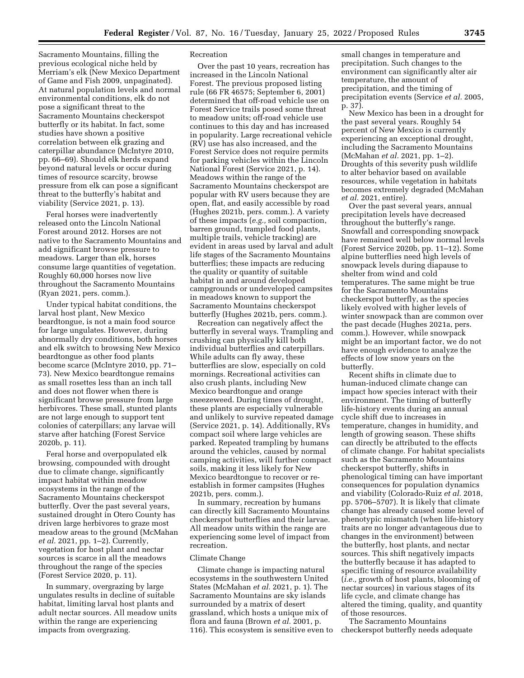Sacramento Mountains, filling the previous ecological niche held by Merriam's elk (New Mexico Department of Game and Fish 2009, unpaginated). At natural population levels and normal environmental conditions, elk do not pose a significant threat to the Sacramento Mountains checkerspot butterfly or its habitat. In fact, some studies have shown a positive correlation between elk grazing and caterpillar abundance (McIntyre 2010, pp. 66–69). Should elk herds expand beyond natural levels or occur during times of resource scarcity, browse pressure from elk can pose a significant threat to the butterfly's habitat and viability (Service 2021, p. 13).

Feral horses were inadvertently released onto the Lincoln National Forest around 2012. Horses are not native to the Sacramento Mountains and add significant browse pressure to meadows. Larger than elk, horses consume large quantities of vegetation. Roughly 60,000 horses now live throughout the Sacramento Mountains (Ryan 2021, pers. comm.).

Under typical habitat conditions, the larval host plant, New Mexico beardtongue, is not a main food source for large ungulates. However, during abnormally dry conditions, both horses and elk switch to browsing New Mexico beardtongue as other food plants become scarce (McIntyre 2010, pp. 71– 73). New Mexico beardtongue remains as small rosettes less than an inch tall and does not flower when there is significant browse pressure from large herbivores. These small, stunted plants are not large enough to support tent colonies of caterpillars; any larvae will starve after hatching (Forest Service 2020b, p. 11).

Feral horse and overpopulated elk browsing, compounded with drought due to climate change, significantly impact habitat within meadow ecosystems in the range of the Sacramento Mountains checkerspot butterfly. Over the past several years, sustained drought in Otero County has driven large herbivores to graze most meadow areas to the ground (McMahan *et al.* 2021, pp. 1–2). Currently, vegetation for host plant and nectar sources is scarce in all the meadows throughout the range of the species (Forest Service 2020, p. 11).

In summary, overgrazing by large ungulates results in decline of suitable habitat, limiting larval host plants and adult nectar sources. All meadow units within the range are experiencing impacts from overgrazing.

## Recreation

Over the past 10 years, recreation has increased in the Lincoln National Forest. The previous proposed listing rule (66 FR 46575; September 6, 2001) determined that off-road vehicle use on Forest Service trails posed some threat to meadow units; off-road vehicle use continues to this day and has increased in popularity. Large recreational vehicle (RV) use has also increased, and the Forest Service does not require permits for parking vehicles within the Lincoln National Forest (Service 2021, p. 14). Meadows within the range of the Sacramento Mountains checkerspot are popular with RV users because they are open, flat, and easily accessible by road (Hughes 2021b, pers. comm.). A variety of these impacts (*e.g.,* soil compaction, barren ground, trampled food plants, multiple trails, vehicle tracking) are evident in areas used by larval and adult life stages of the Sacramento Mountains butterflies; these impacts are reducing the quality or quantity of suitable habitat in and around developed campgrounds or undeveloped campsites in meadows known to support the Sacramento Mountains checkerspot butterfly (Hughes 2021b, pers. comm.).

Recreation can negatively affect the butterfly in several ways. Trampling and crushing can physically kill both individual butterflies and caterpillars. While adults can fly away, these butterflies are slow, especially on cold mornings. Recreational activities can also crush plants, including New Mexico beardtongue and orange sneezeweed. During times of drought, these plants are especially vulnerable and unlikely to survive repeated damage (Service 2021, p. 14). Additionally, RVs compact soil where large vehicles are parked. Repeated trampling by humans around the vehicles, caused by normal camping activities, will further compact soils, making it less likely for New Mexico beardtongue to recover or reestablish in former campsites (Hughes 2021b, pers. comm.).

In summary, recreation by humans can directly kill Sacramento Mountains checkerspot butterflies and their larvae. All meadow units within the range are experiencing some level of impact from recreation.

### Climate Change

Climate change is impacting natural ecosystems in the southwestern United States (McMahan *et al.* 2021, p. 1). The Sacramento Mountains are sky islands surrounded by a matrix of desert grassland, which hosts a unique mix of flora and fauna (Brown *et al.* 2001, p. 116). This ecosystem is sensitive even to small changes in temperature and precipitation. Such changes to the environment can significantly alter air temperature, the amount of precipitation, and the timing of precipitation events (Service *et al.* 2005, p. 37).

New Mexico has been in a drought for the past several years. Roughly 54 percent of New Mexico is currently experiencing an exceptional drought, including the Sacramento Mountains (McMahan *et al.* 2021, pp. 1–2). Droughts of this severity push wildlife to alter behavior based on available resources, while vegetation in habitats becomes extremely degraded (McMahan *et al.* 2021, entire).

Over the past several years, annual precipitation levels have decreased throughout the butterfly's range. Snowfall and corresponding snowpack have remained well below normal levels (Forest Service 2020b, pp. 11–12). Some alpine butterflies need high levels of snowpack levels during diapause to shelter from wind and cold temperatures. The same might be true for the Sacramento Mountains checkerspot butterfly, as the species likely evolved with higher levels of winter snowpack than are common over the past decade (Hughes 2021a, pers. comm.). However, while snowpack might be an important factor, we do not have enough evidence to analyze the effects of low snow years on the butterfly.

Recent shifts in climate due to human-induced climate change can impact how species interact with their environment. The timing of butterfly life-history events during an annual cycle shift due to increases in temperature, changes in humidity, and length of growing season. These shifts can directly be attributed to the effects of climate change. For habitat specialists such as the Sacramento Mountains checkerspot butterfly, shifts in phenological timing can have important consequences for population dynamics and viability (Colorado-Ruiz *et al.* 2018, pp. 5706–5707). It is likely that climate change has already caused some level of phenotypic mismatch (when life-history traits are no longer advantageous due to changes in the environment) between the butterfly, host plants, and nectar sources. This shift negatively impacts the butterfly because it has adapted to specific timing of resource availability (*i.e.,* growth of host plants, blooming of nectar sources) in various stages of its life cycle, and climate change has altered the timing, quality, and quantity of those resources.

The Sacramento Mountains checkerspot butterfly needs adequate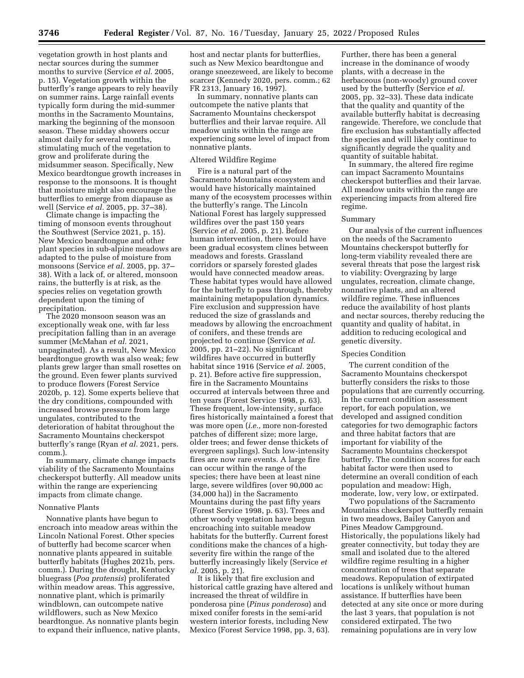vegetation growth in host plants and nectar sources during the summer months to survive (Service *et al.* 2005, p. 15). Vegetation growth within the butterfly's range appears to rely heavily on summer rains. Large rainfall events typically form during the mid-summer months in the Sacramento Mountains, marking the beginning of the monsoon season. These midday showers occur almost daily for several months, stimulating much of the vegetation to grow and proliferate during the midsummer season. Specifically, New Mexico beardtongue growth increases in response to the monsoons. It is thought that moisture might also encourage the butterflies to emerge from diapause as well (Service *et al.* 2005, pp. 37–38).

Climate change is impacting the timing of monsoon events throughout the Southwest (Service 2021, p. 15). New Mexico beardtongue and other plant species in sub-alpine meadows are adapted to the pulse of moisture from monsoons (Service *et al.* 2005, pp. 37– 38). With a lack of, or altered, monsoon rains, the butterfly is at risk, as the species relies on vegetation growth dependent upon the timing of precipitation.

The 2020 monsoon season was an exceptionally weak one, with far less precipitation falling than in an average summer (McMahan *et al.* 2021, unpaginated). As a result, New Mexico beardtongue growth was also weak; few plants grew larger than small rosettes on the ground. Even fewer plants survived to produce flowers (Forest Service 2020b, p. 12). Some experts believe that the dry conditions, compounded with increased browse pressure from large ungulates, contributed to the deterioration of habitat throughout the Sacramento Mountains checkerspot butterfly's range (Ryan *et al.* 2021, pers. comm.).

In summary, climate change impacts viability of the Sacramento Mountains checkerspot butterfly. All meadow units within the range are experiencing impacts from climate change.

#### Nonnative Plants

Nonnative plants have begun to encroach into meadow areas within the Lincoln National Forest. Other species of butterfly had become scarcer when nonnative plants appeared in suitable butterfly habitats (Hughes 2021b, pers. comm.). During the drought, Kentucky bluegrass (*Poa pratensis*) proliferated within meadow areas. This aggressive, nonnative plant, which is primarily windblown, can outcompete native wildflowers, such as New Mexico beardtongue. As nonnative plants begin to expand their influence, native plants, host and nectar plants for butterflies, such as New Mexico beardtongue and orange sneezeweed, are likely to become scarcer (Kennedy 2020, pers. comm.; 62 FR 2313, January 16, 1997).

In summary, nonnative plants can outcompete the native plants that Sacramento Mountains checkerspot butterflies and their larvae require. All meadow units within the range are experiencing some level of impact from nonnative plants.

### Altered Wildfire Regime

Fire is a natural part of the Sacramento Mountains ecosystem and would have historically maintained many of the ecosystem processes within the butterfly's range. The Lincoln National Forest has largely suppressed wildfires over the past 150 years (Service *et al.* 2005, p. 21). Before human intervention, there would have been gradual ecosystem clines between meadows and forests. Grassland corridors or sparsely forested glades would have connected meadow areas. These habitat types would have allowed for the butterfly to pass through, thereby maintaining metapopulation dynamics. Fire exclusion and suppression have reduced the size of grasslands and meadows by allowing the encroachment of conifers, and these trends are projected to continue (Service *et al.*  2005, pp. 21–22). No significant wildfires have occurred in butterfly habitat since 1916 (Service *et al.* 2005, p. 21). Before active fire suppression, fire in the Sacramento Mountains occurred at intervals between three and ten years (Forest Service 1998, p. 63). These frequent, low-intensity, surface fires historically maintained a forest that was more open (*i.e.,* more non-forested patches of different size; more large, older trees; and fewer dense thickets of evergreen saplings). Such low-intensity fires are now rare events. A large fire can occur within the range of the species; there have been at least nine large, severe wildfires (over 90,000 ac (34,000 ha)) in the Sacramento Mountains during the past fifty years (Forest Service 1998, p. 63). Trees and other woody vegetation have begun encroaching into suitable meadow habitats for the butterfly. Current forest conditions make the chances of a highseverity fire within the range of the butterfly increasingly likely (Service *et al.* 2005, p. 21).

It is likely that fire exclusion and historical cattle grazing have altered and increased the threat of wildfire in ponderosa pine (*Pinus ponderosa*) and mixed conifer forests in the semi-arid western interior forests, including New Mexico (Forest Service 1998, pp. 3, 63).

Further, there has been a general increase in the dominance of woody plants, with a decrease in the herbaceous (non-woody) ground cover used by the butterfly (Service *et al.*  2005, pp. 32–33). These data indicate that the quality and quantity of the available butterfly habitat is decreasing rangewide. Therefore, we conclude that fire exclusion has substantially affected the species and will likely continue to significantly degrade the quality and quantity of suitable habitat.

In summary, the altered fire regime can impact Sacramento Mountains checkerspot butterflies and their larvae. All meadow units within the range are experiencing impacts from altered fire regime.

### Summary

Our analysis of the current influences on the needs of the Sacramento Mountains checkerspot butterfly for long-term viability revealed there are several threats that pose the largest risk to viability: Overgrazing by large ungulates, recreation, climate change, nonnative plants, and an altered wildfire regime. These influences reduce the availability of host plants and nectar sources, thereby reducing the quantity and quality of habitat, in addition to reducing ecological and genetic diversity.

### Species Condition

The current condition of the Sacramento Mountains checkerspot butterfly considers the risks to those populations that are currently occurring. In the current condition assessment report, for each population, we developed and assigned condition categories for two demographic factors and three habitat factors that are important for viability of the Sacramento Mountains checkerspot butterfly. The condition scores for each habitat factor were then used to determine an overall condition of each population and meadow: High, moderate, low, very low, or extirpated.

Two populations of the Sacramento Mountains checkerspot butterfly remain in two meadows, Bailey Canyon and Pines Meadow Campground. Historically, the populations likely had greater connectivity, but today they are small and isolated due to the altered wildfire regime resulting in a higher concentration of trees that separate meadows. Repopulation of extirpated locations is unlikely without human assistance. If butterflies have been detected at any site once or more during the last 3 years, that population is not considered extirpated. The two remaining populations are in very low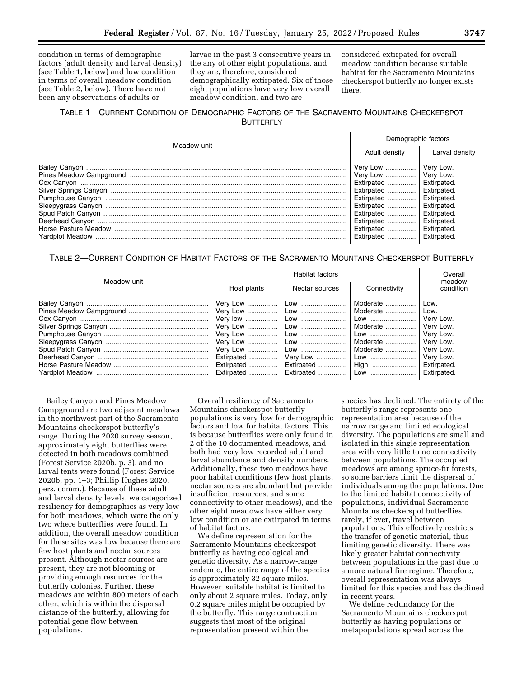condition in terms of demographic factors (adult density and larval density) (see Table 1, below) and low condition in terms of overall meadow condition (see Table 2, below). There have not been any observations of adults or

larvae in the past 3 consecutive years in the any of other eight populations, and they are, therefore, considered demographically extirpated. Six of those eight populations have very low overall meadow condition, and two are

considered extirpated for overall meadow condition because suitable habitat for the Sacramento Mountains checkerspot butterfly no longer exists there.

# TABLE 1—CURRENT CONDITION OF DEMOGRAPHIC FACTORS OF THE SACRAMENTO MOUNTAINS CHECKERSPOT **BUTTERFLY**

| Meadow unit | Demographic factors                                                                                                                                                                                                                                                            |                |  |  |
|-------------|--------------------------------------------------------------------------------------------------------------------------------------------------------------------------------------------------------------------------------------------------------------------------------|----------------|--|--|
|             | Adult density                                                                                                                                                                                                                                                                  | Larval density |  |  |
|             | Very Low    Very Low.<br>Very Low    Very Low.<br>Extirpated    Extirpated.<br>Extirpated    Extirpated.<br>Extirpated    Extirpated.<br>Extirpated  Extirpated.<br>Extirpated  Extirpated.<br>Extirpated  Extirpated.<br>Extirpated    Extirpated.<br>Extirpated  Extirpated. |                |  |  |

## TABLE 2—CURRENT CONDITION OF HABITAT FACTORS OF THE SACRAMENTO MOUNTAINS CHECKERSPOT BUTTERFLY

| Meadow unit |             | Overall                                               |                                                                   |                                                                                                                          |
|-------------|-------------|-------------------------------------------------------|-------------------------------------------------------------------|--------------------------------------------------------------------------------------------------------------------------|
|             | Host plants | Nectar sources                                        | Connectivity                                                      | meadow<br>condition                                                                                                      |
|             |             | Extirpated    Very Low   <br>Extirpated    Extirpated | Moderate   <br>Moderate<br>Moderate   <br>Moderate   <br>Moderate | Low.<br>Low.<br>Very Low.<br>Very Low.<br>Very Low.<br>Very Low.<br>Very Low.<br>Very Low.<br>Extirpated.<br>Extirpated. |

Bailey Canyon and Pines Meadow Campground are two adjacent meadows in the northwest part of the Sacramento Mountains checkerspot butterfly's range. During the 2020 survey season, approximately eight butterflies were detected in both meadows combined (Forest Service 2020b, p. 3), and no larval tents were found (Forest Service 2020b, pp. 1–3; Phillip Hughes 2020, pers. comm.). Because of these adult and larval density levels, we categorized resiliency for demographics as very low for both meadows, which were the only two where butterflies were found. In addition, the overall meadow condition for these sites was low because there are few host plants and nectar sources present. Although nectar sources are present, they are not blooming or providing enough resources for the butterfly colonies. Further, these meadows are within 800 meters of each other, which is within the dispersal distance of the butterfly, allowing for potential gene flow between populations.

Overall resiliency of Sacramento Mountains checkerspot butterfly populations is very low for demographic factors and low for habitat factors. This is because butterflies were only found in 2 of the 10 documented meadows, and both had very low recorded adult and larval abundance and density numbers. Additionally, these two meadows have poor habitat conditions (few host plants, nectar sources are abundant but provide insufficient resources, and some connectivity to other meadows), and the other eight meadows have either very low condition or are extirpated in terms of habitat factors.

We define representation for the Sacramento Mountains checkerspot butterfly as having ecological and genetic diversity. As a narrow-range endemic, the entire range of the species is approximately 32 square miles. However, suitable habitat is limited to only about 2 square miles. Today, only 0.2 square miles might be occupied by the butterfly. This range contraction suggests that most of the original representation present within the

species has declined. The entirety of the butterfly's range represents one representation area because of the narrow range and limited ecological diversity. The populations are small and isolated in this single representation area with very little to no connectivity between populations. The occupied meadows are among spruce-fir forests, so some barriers limit the dispersal of individuals among the populations. Due to the limited habitat connectivity of populations, individual Sacramento Mountains checkerspot butterflies rarely, if ever, travel between populations. This effectively restricts the transfer of genetic material, thus limiting genetic diversity. There was likely greater habitat connectivity between populations in the past due to a more natural fire regime. Therefore, overall representation was always limited for this species and has declined in recent years.

We define redundancy for the Sacramento Mountains checkerspot butterfly as having populations or metapopulations spread across the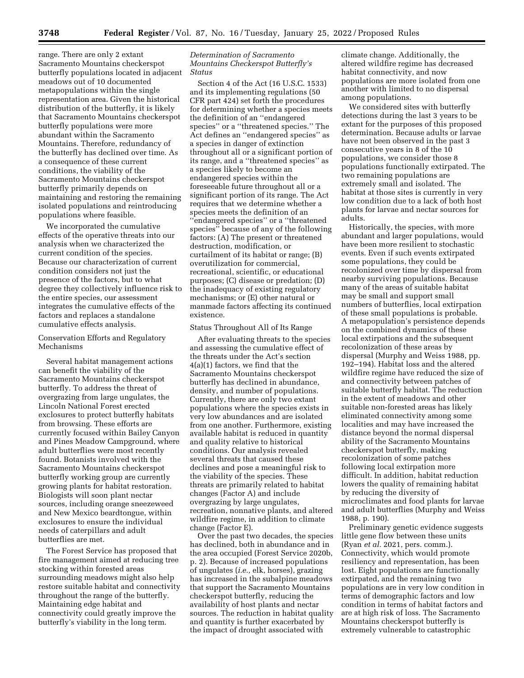range. There are only 2 extant Sacramento Mountains checkerspot butterfly populations located in adjacent meadows out of 10 documented metapopulations within the single representation area. Given the historical distribution of the butterfly, it is likely that Sacramento Mountains checkerspot butterfly populations were more abundant within the Sacramento Mountains. Therefore, redundancy of the butterfly has declined over time. As a consequence of these current conditions, the viability of the Sacramento Mountains checkerspot butterfly primarily depends on maintaining and restoring the remaining isolated populations and reintroducing populations where feasible.

We incorporated the cumulative effects of the operative threats into our analysis when we characterized the current condition of the species. Because our characterization of current condition considers not just the presence of the factors, but to what degree they collectively influence risk to the entire species, our assessment integrates the cumulative effects of the factors and replaces a standalone cumulative effects analysis.

Conservation Efforts and Regulatory Mechanisms

Several habitat management actions can benefit the viability of the Sacramento Mountains checkerspot butterfly. To address the threat of overgrazing from large ungulates, the Lincoln National Forest erected exclosures to protect butterfly habitats from browsing. These efforts are currently focused within Bailey Canyon and Pines Meadow Campground, where adult butterflies were most recently found. Botanists involved with the Sacramento Mountains checkerspot butterfly working group are currently growing plants for habitat restoration. Biologists will soon plant nectar sources, including orange sneezeweed and New Mexico beardtongue, within exclosures to ensure the individual needs of caterpillars and adult butterflies are met.

The Forest Service has proposed that fire management aimed at reducing tree stocking within forested areas surrounding meadows might also help restore suitable habitat and connectivity throughout the range of the butterfly. Maintaining edge habitat and connectivity could greatly improve the butterfly's viability in the long term.

*Determination of Sacramento Mountains Checkerspot Butterfly's Status* 

Section 4 of the Act (16 U.S.C. 1533) and its implementing regulations (50 CFR part 424) set forth the procedures for determining whether a species meets the definition of an ''endangered species'' or a ''threatened species.'' The Act defines an ''endangered species'' as a species in danger of extinction throughout all or a significant portion of its range, and a ''threatened species'' as a species likely to become an endangered species within the foreseeable future throughout all or a significant portion of its range. The Act requires that we determine whether a species meets the definition of an ''endangered species'' or a ''threatened species'' because of any of the following factors: (A) The present or threatened destruction, modification, or curtailment of its habitat or range; (B) overutilization for commercial, recreational, scientific, or educational purposes; (C) disease or predation; (D) the inadequacy of existing regulatory mechanisms; or (E) other natural or manmade factors affecting its continued existence.

Status Throughout All of Its Range

After evaluating threats to the species and assessing the cumulative effect of the threats under the Act's section 4(a)(1) factors, we find that the Sacramento Mountains checkerspot butterfly has declined in abundance, density, and number of populations. Currently, there are only two extant populations where the species exists in very low abundances and are isolated from one another. Furthermore, existing available habitat is reduced in quantity and quality relative to historical conditions. Our analysis revealed several threats that caused these declines and pose a meaningful risk to the viability of the species. These threats are primarily related to habitat changes (Factor A) and include overgrazing by large ungulates, recreation, nonnative plants, and altered wildfire regime, in addition to climate change (Factor E).

Over the past two decades, the species has declined, both in abundance and in the area occupied (Forest Service 2020b, p. 2). Because of increased populations of ungulates (*i.e.,* elk, horses), grazing has increased in the subalpine meadows that support the Sacramento Mountains checkerspot butterfly, reducing the availability of host plants and nectar sources. The reduction in habitat quality and quantity is further exacerbated by the impact of drought associated with

climate change. Additionally, the altered wildfire regime has decreased habitat connectivity, and now populations are more isolated from one another with limited to no dispersal among populations.

We considered sites with butterfly detections during the last 3 years to be extant for the purposes of this proposed determination. Because adults or larvae have not been observed in the past 3 consecutive years in 8 of the 10 populations, we consider those 8 populations functionally extirpated. The two remaining populations are extremely small and isolated. The habitat at those sites is currently in very low condition due to a lack of both host plants for larvae and nectar sources for adults.

Historically, the species, with more abundant and larger populations, would have been more resilient to stochastic events. Even if such events extirpated some populations, they could be recolonized over time by dispersal from nearby surviving populations. Because many of the areas of suitable habitat may be small and support small numbers of butterflies, local extirpation of these small populations is probable. A metapopulation's persistence depends on the combined dynamics of these local extirpations and the subsequent recolonization of these areas by dispersal (Murphy and Weiss 1988, pp. 192–194). Habitat loss and the altered wildfire regime have reduced the size of and connectivity between patches of suitable butterfly habitat. The reduction in the extent of meadows and other suitable non-forested areas has likely eliminated connectivity among some localities and may have increased the distance beyond the normal dispersal ability of the Sacramento Mountains checkerspot butterfly, making recolonization of some patches following local extirpation more difficult. In addition, habitat reduction lowers the quality of remaining habitat by reducing the diversity of microclimates and food plants for larvae and adult butterflies (Murphy and Weiss 1988, p. 190).

Preliminary genetic evidence suggests little gene flow between these units (Ryan *et al.* 2021, pers. comm.). Connectivity, which would promote resiliency and representation, has been lost. Eight populations are functionally extirpated, and the remaining two populations are in very low condition in terms of demographic factors and low condition in terms of habitat factors and are at high risk of loss. The Sacramento Mountains checkerspot butterfly is extremely vulnerable to catastrophic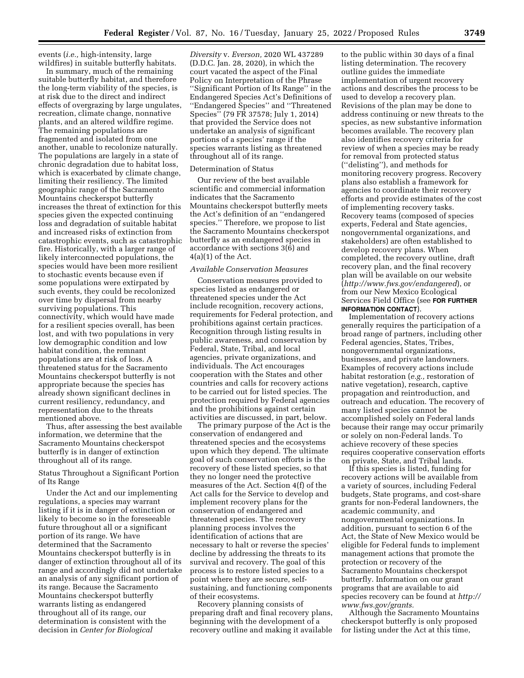events (*i.e.,* high-intensity, large wildfires) in suitable butterfly habitats.

In summary, much of the remaining suitable butterfly habitat, and therefore the long-term viability of the species, is at risk due to the direct and indirect effects of overgrazing by large ungulates, recreation, climate change, nonnative plants, and an altered wildfire regime. The remaining populations are fragmented and isolated from one another, unable to recolonize naturally. The populations are largely in a state of chronic degradation due to habitat loss, which is exacerbated by climate change, limiting their resiliency. The limited geographic range of the Sacramento Mountains checkerspot butterfly increases the threat of extinction for this species given the expected continuing loss and degradation of suitable habitat and increased risks of extinction from catastrophic events, such as catastrophic fire. Historically, with a larger range of likely interconnected populations, the species would have been more resilient to stochastic events because even if some populations were extirpated by such events, they could be recolonized over time by dispersal from nearby surviving populations. This connectivity, which would have made for a resilient species overall, has been lost, and with two populations in very low demographic condition and low habitat condition, the remnant populations are at risk of loss. A threatened status for the Sacramento Mountains checkerspot butterfly is not appropriate because the species has already shown significant declines in current resiliency, redundancy, and representation due to the threats mentioned above.

Thus, after assessing the best available information, we determine that the Sacramento Mountains checkerspot butterfly is in danger of extinction throughout all of its range.

## Status Throughout a Significant Portion of Its Range

Under the Act and our implementing regulations, a species may warrant listing if it is in danger of extinction or likely to become so in the foreseeable future throughout all or a significant portion of its range. We have determined that the Sacramento Mountains checkerspot butterfly is in danger of extinction throughout all of its range and accordingly did not undertake an analysis of any significant portion of its range. Because the Sacramento Mountains checkerspot butterfly warrants listing as endangered throughout all of its range, our determination is consistent with the decision in *Center for Biological* 

*Diversity* v. *Everson,* 2020 WL 437289 (D.D.C. Jan. 28, 2020), in which the court vacated the aspect of the Final Policy on Interpretation of the Phrase ''Significant Portion of Its Range'' in the Endangered Species Act's Definitions of ''Endangered Species'' and ''Threatened Species'' (79 FR 37578; July 1, 2014) that provided the Service does not undertake an analysis of significant portions of a species' range if the species warrants listing as threatened throughout all of its range.

### Determination of Status

Our review of the best available scientific and commercial information indicates that the Sacramento Mountains checkerspot butterfly meets the Act's definition of an ''endangered species.'' Therefore, we propose to list the Sacramento Mountains checkerspot butterfly as an endangered species in accordance with sections 3(6) and  $4(a)(1)$  of the Act.

## *Available Conservation Measures*

Conservation measures provided to species listed as endangered or threatened species under the Act include recognition, recovery actions, requirements for Federal protection, and prohibitions against certain practices. Recognition through listing results in public awareness, and conservation by Federal, State, Tribal, and local agencies, private organizations, and individuals. The Act encourages cooperation with the States and other countries and calls for recovery actions to be carried out for listed species. The protection required by Federal agencies and the prohibitions against certain activities are discussed, in part, below.

The primary purpose of the Act is the conservation of endangered and threatened species and the ecosystems upon which they depend. The ultimate goal of such conservation efforts is the recovery of these listed species, so that they no longer need the protective measures of the Act. Section 4(f) of the Act calls for the Service to develop and implement recovery plans for the conservation of endangered and threatened species. The recovery planning process involves the identification of actions that are necessary to halt or reverse the species' decline by addressing the threats to its survival and recovery. The goal of this process is to restore listed species to a point where they are secure, selfsustaining, and functioning components of their ecosystems.

Recovery planning consists of preparing draft and final recovery plans, beginning with the development of a recovery outline and making it available

to the public within 30 days of a final listing determination. The recovery outline guides the immediate implementation of urgent recovery actions and describes the process to be used to develop a recovery plan. Revisions of the plan may be done to address continuing or new threats to the species, as new substantive information becomes available. The recovery plan also identifies recovery criteria for review of when a species may be ready for removal from protected status (''delisting''), and methods for monitoring recovery progress. Recovery plans also establish a framework for agencies to coordinate their recovery efforts and provide estimates of the cost of implementing recovery tasks. Recovery teams (composed of species experts, Federal and State agencies, nongovernmental organizations, and stakeholders) are often established to develop recovery plans. When completed, the recovery outline, draft recovery plan, and the final recovery plan will be available on our website (*<http://www.fws.gov/endangered>*), or from our New Mexico Ecological Services Field Office (see **FOR FURTHER INFORMATION CONTACT**).

Implementation of recovery actions generally requires the participation of a broad range of partners, including other Federal agencies, States, Tribes, nongovernmental organizations, businesses, and private landowners. Examples of recovery actions include habitat restoration (*e.g.,* restoration of native vegetation), research, captive propagation and reintroduction, and outreach and education. The recovery of many listed species cannot be accomplished solely on Federal lands because their range may occur primarily or solely on non-Federal lands. To achieve recovery of these species requires cooperative conservation efforts on private, State, and Tribal lands.

If this species is listed, funding for recovery actions will be available from a variety of sources, including Federal budgets, State programs, and cost-share grants for non-Federal landowners, the academic community, and nongovernmental organizations. In addition, pursuant to section 6 of the Act, the State of New Mexico would be eligible for Federal funds to implement management actions that promote the protection or recovery of the Sacramento Mountains checkerspot butterfly. Information on our grant programs that are available to aid species recovery can be found at *[http://](http://www.fws.gov/grants)  [www.fws.gov/grants.](http://www.fws.gov/grants)* 

Although the Sacramento Mountains checkerspot butterfly is only proposed for listing under the Act at this time,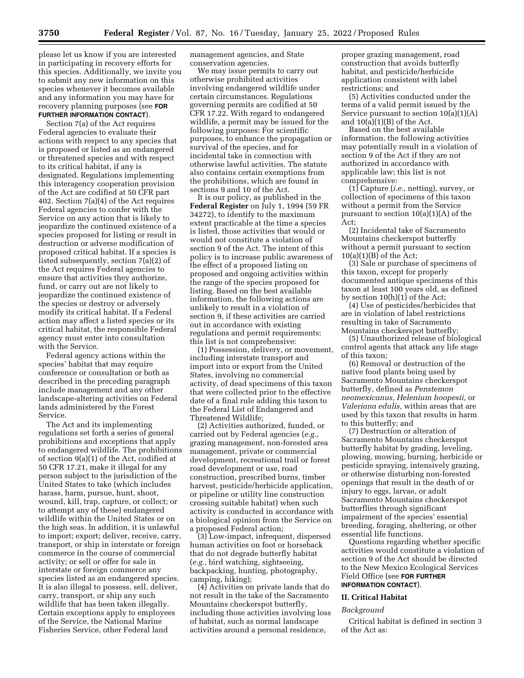please let us know if you are interested in participating in recovery efforts for this species. Additionally, we invite you to submit any new information on this species whenever it becomes available and any information you may have for recovery planning purposes (see **FOR FURTHER INFORMATION CONTACT**).

## Section 7(a) of the Act requires Federal agencies to evaluate their actions with respect to any species that is proposed or listed as an endangered or threatened species and with respect to its critical habitat, if any is designated. Regulations implementing this interagency cooperation provision of the Act are codified at 50 CFR part 402. Section 7(a)(4) of the Act requires Federal agencies to confer with the Service on any action that is likely to jeopardize the continued existence of a species proposed for listing or result in destruction or adverse modification of proposed critical habitat. If a species is listed subsequently, section 7(a)(2) of the Act requires Federal agencies to ensure that activities they authorize, fund, or carry out are not likely to jeopardize the continued existence of the species or destroy or adversely modify its critical habitat. If a Federal action may affect a listed species or its critical habitat, the responsible Federal agency must enter into consultation with the Service.

Federal agency actions within the species' habitat that may require conference or consultation or both as described in the preceding paragraph include management and any other landscape-altering activities on Federal lands administered by the Forest Service.

The Act and its implementing regulations set forth a series of general prohibitions and exceptions that apply to endangered wildlife. The prohibitions of section 9(a)(1) of the Act, codified at 50 CFR 17.21, make it illegal for any person subject to the jurisdiction of the United States to take (which includes harass, harm, pursue, hunt, shoot, wound, kill, trap, capture, or collect; or to attempt any of these) endangered wildlife within the United States or on the high seas. In addition, it is unlawful to import; export; deliver, receive, carry, transport, or ship in interstate or foreign commerce in the course of commercial activity; or sell or offer for sale in interstate or foreign commerce any species listed as an endangered species. It is also illegal to possess, sell, deliver, carry, transport, or ship any such wildlife that has been taken illegally. Certain exceptions apply to employees of the Service, the National Marine Fisheries Service, other Federal land

management agencies, and State conservation agencies.

We may issue permits to carry out otherwise prohibited activities involving endangered wildlife under certain circumstances. Regulations governing permits are codified at 50 CFR 17.22. With regard to endangered wildlife, a permit may be issued for the following purposes: For scientific purposes, to enhance the propagation or survival of the species, and for incidental take in connection with otherwise lawful activities. The statute also contains certain exemptions from the prohibitions, which are found in sections 9 and 10 of the Act.

It is our policy, as published in the **Federal Register** on July 1, 1994 (59 FR 34272), to identify to the maximum extent practicable at the time a species is listed, those activities that would or would not constitute a violation of section 9 of the Act. The intent of this policy is to increase public awareness of the effect of a proposed listing on proposed and ongoing activities within the range of the species proposed for listing. Based on the best available information, the following actions are unlikely to result in a violation of section 9, if these activities are carried out in accordance with existing regulations and permit requirements; this list is not comprehensive:

(1) Possession, delivery, or movement, including interstate transport and import into or export from the United States, involving no commercial activity, of dead specimens of this taxon that were collected prior to the effective date of a final rule adding this taxon to the Federal List of Endangered and Threatened Wildlife;

(2) Activities authorized, funded, or carried out by Federal agencies (*e.g.,*  grazing management, non-forested area management, private or commercial development, recreational trail or forest road development or use, road construction, prescribed burns, timber harvest, pesticide/herbicide application, or pipeline or utility line construction crossing suitable habitat) when such activity is conducted in accordance with a biological opinion from the Service on a proposed Federal action;

(3) Low-impact, infrequent, dispersed human activities on foot or horseback that do not degrade butterfly habitat (*e.g.,* bird watching, sightseeing, backpacking, hunting, photography, camping, hiking);

(4) Activities on private lands that do not result in the take of the Sacramento Mountains checkerspot butterfly, including those activities involving loss of habitat, such as normal landscape activities around a personal residence,

proper grazing management, road construction that avoids butterfly habitat, and pesticide/herbicide application consistent with label restrictions; and

(5) Activities conducted under the terms of a valid permit issued by the Service pursuant to section 10(a)(1)(A) and  $10(a)(1)(B)$  of the Act.

Based on the best available information, the following activities may potentially result in a violation of section 9 of the Act if they are not authorized in accordance with applicable law; this list is not comprehensive:

(1) Capture (*i.e.,* netting), survey, or collection of specimens of this taxon without a permit from the Service pursuant to section 10(a)(1)(A) of the Act;

(2) Incidental take of Sacramento Mountains checkerspot butterfly without a permit pursuant to section  $10(a)(1)(B)$  of the Act;

(3) Sale or purchase of specimens of this taxon, except for properly documented antique specimens of this taxon at least 100 years old, as defined by section 10(h)(1) of the Act;

(4) Use of pesticides/herbicides that are in violation of label restrictions resulting in take of Sacramento Mountains checkerspot butterfly;

(5) Unauthorized release of biological control agents that attack any life stage of this taxon;

(6) Removal or destruction of the native food plants being used by Sacramento Mountains checkerspot butterfly, defined as *Penstemon neomexicanus, Helenium hoopesii,* or *Valeriana edulis,* within areas that are used by this taxon that results in harm to this butterfly; and

(7) Destruction or alteration of Sacramento Mountains checkerspot butterfly habitat by grading, leveling, plowing, mowing, burning, herbicide or pesticide spraying, intensively grazing, or otherwise disturbing non-forested openings that result in the death of or injury to eggs, larvae, or adult Sacramento Mountains checkerspot butterflies through significant impairment of the species' essential breeding, foraging, sheltering, or other essential life functions.

Questions regarding whether specific activities would constitute a violation of section 9 of the Act should be directed to the New Mexico Ecological Services Field Office (see **FOR FURTHER INFORMATION CONTACT**).

## **II. Critical Habitat**

#### *Background*

Critical habitat is defined in section 3 of the Act as: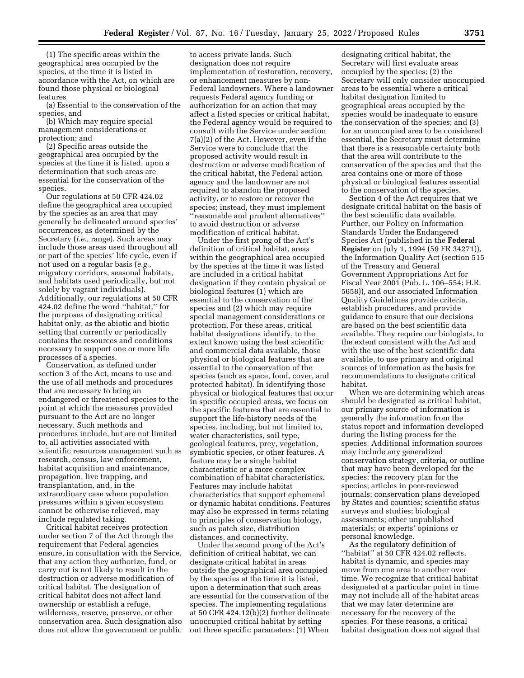(1) The specific areas within the geographical area occupied by the species, at the time it is listed in accordance with the Act, on which are found those physical or biological features

(a) Essential to the conservation of the species, and

(b) Which may require special management considerations or protection; and

(2) Specific areas outside the geographical area occupied by the species at the time it is listed, upon a determination that such areas are essential for the conservation of the species.

Our regulations at 50 CFR 424.02 define the geographical area occupied by the species as an area that may generally be delineated around species' occurrences, as determined by the Secretary (*i.e.,* range). Such areas may include those areas used throughout all or part of the species' life cycle, even if not used on a regular basis (*e.g.,*  migratory corridors, seasonal habitats, and habitats used periodically, but not solely by vagrant individuals). Additionally, our regulations at 50 CFR 424.02 define the word ''habitat,'' for the purposes of designating critical habitat only, as the abiotic and biotic setting that currently or periodically contains the resources and conditions necessary to support one or more life processes of a species.

Conservation, as defined under section 3 of the Act, means to use and the use of all methods and procedures that are necessary to bring an endangered or threatened species to the point at which the measures provided pursuant to the Act are no longer necessary. Such methods and procedures include, but are not limited to, all activities associated with scientific resources management such as research, census, law enforcement, habitat acquisition and maintenance, propagation, live trapping, and transplantation, and, in the extraordinary case where population pressures within a given ecosystem cannot be otherwise relieved, may include regulated taking.

Critical habitat receives protection under section 7 of the Act through the requirement that Federal agencies ensure, in consultation with the Service, that any action they authorize, fund, or carry out is not likely to result in the destruction or adverse modification of critical habitat. The designation of critical habitat does not affect land ownership or establish a refuge, wilderness, reserve, preserve, or other conservation area. Such designation also does not allow the government or public

to access private lands. Such designation does not require implementation of restoration, recovery, or enhancement measures by non-Federal landowners. Where a landowner requests Federal agency funding or authorization for an action that may affect a listed species or critical habitat, the Federal agency would be required to consult with the Service under section 7(a)(2) of the Act. However, even if the Service were to conclude that the proposed activity would result in destruction or adverse modification of the critical habitat, the Federal action agency and the landowner are not required to abandon the proposed activity, or to restore or recover the species; instead, they must implement ''reasonable and prudent alternatives'' to avoid destruction or adverse modification of critical habitat.

Under the first prong of the Act's definition of critical habitat, areas within the geographical area occupied by the species at the time it was listed are included in a critical habitat designation if they contain physical or biological features (1) which are essential to the conservation of the species and (2) which may require special management considerations or protection. For these areas, critical habitat designations identify, to the extent known using the best scientific and commercial data available, those physical or biological features that are essential to the conservation of the species (such as space, food, cover, and protected habitat). In identifying those physical or biological features that occur in specific occupied areas, we focus on the specific features that are essential to support the life-history needs of the species, including, but not limited to, water characteristics, soil type, geological features, prey, vegetation, symbiotic species, or other features. A feature may be a single habitat characteristic or a more complex combination of habitat characteristics. Features may include habitat characteristics that support ephemeral or dynamic habitat conditions. Features may also be expressed in terms relating to principles of conservation biology, such as patch size, distribution distances, and connectivity.

Under the second prong of the Act's definition of critical habitat, we can designate critical habitat in areas outside the geographical area occupied by the species at the time it is listed, upon a determination that such areas are essential for the conservation of the species. The implementing regulations at 50 CFR 424.12(b)(2) further delineate unoccupied critical habitat by setting out three specific parameters: (1) When

designating critical habitat, the Secretary will first evaluate areas occupied by the species; (2) the Secretary will only consider unoccupied areas to be essential where a critical habitat designation limited to geographical areas occupied by the species would be inadequate to ensure the conservation of the species; and (3) for an unoccupied area to be considered essential, the Secretary must determine that there is a reasonable certainty both that the area will contribute to the conservation of the species and that the area contains one or more of those physical or biological features essential to the conservation of the species.

Section 4 of the Act requires that we designate critical habitat on the basis of the best scientific data available. Further, our Policy on Information Standards Under the Endangered Species Act (published in the **Federal Register** on July 1, 1994 (59 FR 34271)), the Information Quality Act (section 515 of the Treasury and General Government Appropriations Act for Fiscal Year 2001 (Pub. L. 106–554; H.R. 5658)), and our associated Information Quality Guidelines provide criteria, establish procedures, and provide guidance to ensure that our decisions are based on the best scientific data available. They require our biologists, to the extent consistent with the Act and with the use of the best scientific data available, to use primary and original sources of information as the basis for recommendations to designate critical habitat.

When we are determining which areas should be designated as critical habitat, our primary source of information is generally the information from the status report and information developed during the listing process for the species. Additional information sources may include any generalized conservation strategy, criteria, or outline that may have been developed for the species; the recovery plan for the species; articles in peer-reviewed journals; conservation plans developed by States and counties; scientific status surveys and studies; biological assessments; other unpublished materials; or experts' opinions or personal knowledge.

As the regulatory definition of "habitat" at 50 CFR 424.02 reflects, habitat is dynamic, and species may move from one area to another over time. We recognize that critical habitat designated at a particular point in time may not include all of the habitat areas that we may later determine are necessary for the recovery of the species. For these reasons, a critical habitat designation does not signal that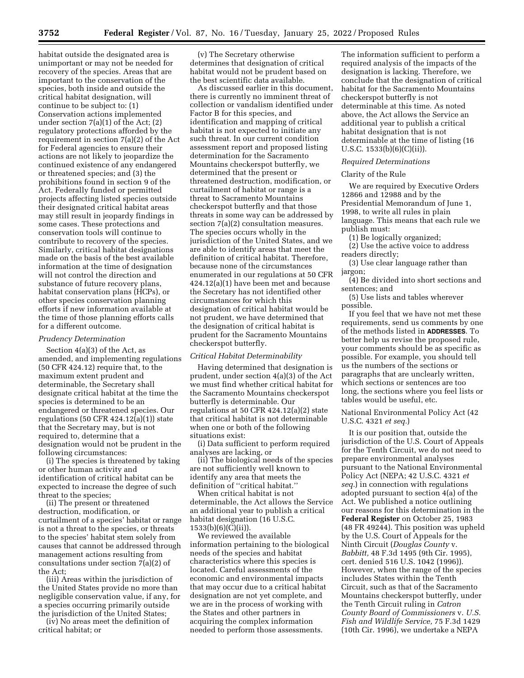habitat outside the designated area is unimportant or may not be needed for recovery of the species. Areas that are important to the conservation of the species, both inside and outside the critical habitat designation, will continue to be subject to: (1) Conservation actions implemented under section 7(a)(1) of the Act; (2) regulatory protections afforded by the requirement in section 7(a)(2) of the Act for Federal agencies to ensure their actions are not likely to jeopardize the continued existence of any endangered or threatened species; and (3) the prohibitions found in section 9 of the Act. Federally funded or permitted projects affecting listed species outside their designated critical habitat areas may still result in jeopardy findings in some cases. These protections and conservation tools will continue to contribute to recovery of the species. Similarly, critical habitat designations made on the basis of the best available information at the time of designation will not control the direction and substance of future recovery plans, habitat conservation plans (HCPs), or other species conservation planning efforts if new information available at the time of those planning efforts calls for a different outcome.

### *Prudency Determination*

Section 4(a)(3) of the Act, as amended, and implementing regulations (50 CFR 424.12) require that, to the maximum extent prudent and determinable, the Secretary shall designate critical habitat at the time the species is determined to be an endangered or threatened species. Our regulations (50 CFR 424.12(a)(1)) state that the Secretary may, but is not required to, determine that a designation would not be prudent in the following circumstances:

(i) The species is threatened by taking or other human activity and identification of critical habitat can be expected to increase the degree of such threat to the species;

(ii) The present or threatened destruction, modification, or curtailment of a species' habitat or range is not a threat to the species, or threats to the species' habitat stem solely from causes that cannot be addressed through management actions resulting from consultations under section 7(a)(2) of the Act;

(iii) Areas within the jurisdiction of the United States provide no more than negligible conservation value, if any, for a species occurring primarily outside the jurisdiction of the United States;

(iv) No areas meet the definition of critical habitat; or

(v) The Secretary otherwise determines that designation of critical habitat would not be prudent based on the best scientific data available.

As discussed earlier in this document, there is currently no imminent threat of collection or vandalism identified under Factor B for this species, and identification and mapping of critical habitat is not expected to initiate any such threat. In our current condition assessment report and proposed listing determination for the Sacramento Mountains checkerspot butterfly, we determined that the present or threatened destruction, modification, or curtailment of habitat or range is a threat to Sacramento Mountains checkerspot butterfly and that those threats in some way can be addressed by section 7(a)(2) consultation measures. The species occurs wholly in the jurisdiction of the United States, and we are able to identify areas that meet the definition of critical habitat. Therefore, because none of the circumstances enumerated in our regulations at 50 CFR 424.12(a)(1) have been met and because the Secretary has not identified other circumstances for which this designation of critical habitat would be not prudent, we have determined that the designation of critical habitat is prudent for the Sacramento Mountains checkerspot butterfly.

### *Critical Habitat Determinability*

Having determined that designation is prudent, under section 4(a)(3) of the Act we must find whether critical habitat for the Sacramento Mountains checkerspot butterfly is determinable. Our regulations at 50 CFR 424.12(a)(2) state that critical habitat is not determinable when one or both of the following situations exist:

(i) Data sufficient to perform required analyses are lacking, or

(ii) The biological needs of the species are not sufficiently well known to identify any area that meets the definition of ''critical habitat.''

When critical habitat is not determinable, the Act allows the Service an additional year to publish a critical habitat designation (16 U.S.C. 1533(b)(6)(C)(ii)).

We reviewed the available information pertaining to the biological needs of the species and habitat characteristics where this species is located. Careful assessments of the economic and environmental impacts that may occur due to a critical habitat designation are not yet complete, and we are in the process of working with the States and other partners in acquiring the complex information needed to perform those assessments.

The information sufficient to perform a required analysis of the impacts of the designation is lacking. Therefore, we conclude that the designation of critical habitat for the Sacramento Mountains checkerspot butterfly is not determinable at this time. As noted above, the Act allows the Service an additional year to publish a critical habitat designation that is not determinable at the time of listing (16 U.S.C.  $1533(b)(6)(C)(ii)$ .

#### *Required Determinations*

### Clarity of the Rule

We are required by Executive Orders 12866 and 12988 and by the Presidential Memorandum of June 1, 1998, to write all rules in plain language. This means that each rule we publish must:

(1) Be logically organized;

(2) Use the active voice to address readers directly;

(3) Use clear language rather than jargon;

(4) Be divided into short sections and sentences; and

(5) Use lists and tables wherever possible.

If you feel that we have not met these requirements, send us comments by one of the methods listed in **ADDRESSES**. To better help us revise the proposed rule, your comments should be as specific as possible. For example, you should tell us the numbers of the sections or paragraphs that are unclearly written, which sections or sentences are too long, the sections where you feel lists or tables would be useful, etc.

National Environmental Policy Act (42 U.S.C. 4321 *et seq.*)

It is our position that, outside the jurisdiction of the U.S. Court of Appeals for the Tenth Circuit, we do not need to prepare environmental analyses pursuant to the National Environmental Policy Act (NEPA; 42 U.S.C. 4321 *et seq.*) in connection with regulations adopted pursuant to section 4(a) of the Act. We published a notice outlining our reasons for this determination in the **Federal Register** on October 25, 1983 (48 FR 49244). This position was upheld by the U.S. Court of Appeals for the Ninth Circuit (*Douglas County* v. *Babbitt,* 48 F.3d 1495 (9th Cir. 1995), cert. denied 516 U.S. 1042 (1996)). However, when the range of the species includes States within the Tenth Circuit, such as that of the Sacramento Mountains checkerspot butterfly, under the Tenth Circuit ruling in *Catron County Board of Commissioners* v. *U.S. Fish and Wildlife Service,* 75 F.3d 1429 (10th Cir. 1996), we undertake a NEPA